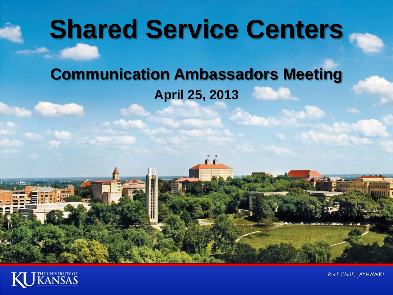# **Shared Service Centers**

### **Communication Ambassadors Meeting April 25, 2013**



**File Parties** 

Rock Chalk, JAYHAWK!

*<u><u>Istant</u>***</u>**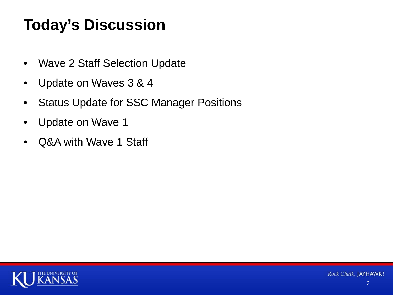### **Today's Discussion**

- Wave 2 Staff Selection Update
- Update on Waves 3 & 4
- Status Update for SSC Manager Positions
- Update on Wave 1
- Q&A with Wave 1 Staff

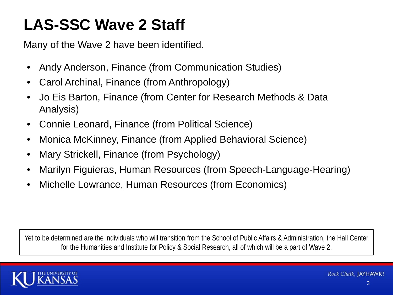### **LAS-SSC Wave 2 Staff**

Many of the Wave 2 have been identified.

- Andy Anderson, Finance (from Communication Studies)
- Carol Archinal, Finance (from Anthropology)
- Jo Eis Barton, Finance (from Center for Research Methods & Data Analysis)
- Connie Leonard, Finance (from Political Science)
- Monica McKinney, Finance (from Applied Behavioral Science)
- Mary Strickell, Finance (from Psychology)
- Marilyn Figuieras, Human Resources (from Speech-Language-Hearing)
- Michelle Lowrance, Human Resources (from Economics)

Yet to be determined are the individuals who will transition from the School of Public Affairs & Administration, the Hall Center for the Humanities and Institute for Policy & Social Research, all of which will be a part of Wave 2.

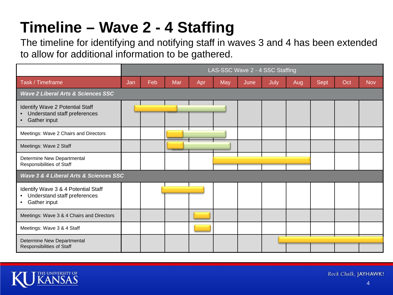## **Timeline – Wave 2 - 4 Staffing**

The timeline for identifying and notifying staff in waves 3 and 4 has been extended to allow for additional information to be gathered.

|                                                                                                  | LAS-SSC Wave 2 - 4 SSC Staffing |     |     |     |     |      |      |     |             |     |            |
|--------------------------------------------------------------------------------------------------|---------------------------------|-----|-----|-----|-----|------|------|-----|-------------|-----|------------|
| Task / Timeframe                                                                                 | Jan                             | Feb | Mar | Apr | May | June | July | Aug | <b>Sept</b> | Oct | <b>Nov</b> |
| <b>Wave 2 Liberal Arts &amp; Sciences SSC</b>                                                    |                                 |     |     |     |     |      |      |     |             |     |            |
| Identify Wave 2 Potential Staff<br>Understand staff preferences<br>Gather input                  |                                 |     |     |     |     |      |      |     |             |     |            |
| Meetings: Wave 2 Chairs and Directors                                                            |                                 |     |     |     |     |      |      |     |             |     |            |
| Meetings: Wave 2 Staff                                                                           |                                 |     |     |     |     |      |      |     |             |     |            |
| Determine New Departmental<br>Responsibilities of Staff                                          |                                 |     |     |     |     |      |      |     |             |     |            |
| Wave 3 & 4 Liberal Arts & Sciences SSC                                                           |                                 |     |     |     |     |      |      |     |             |     |            |
| Identify Wave 3 & 4 Potential Staff<br>Understand staff preferences<br>Gather input<br>$\bullet$ |                                 |     |     |     |     |      |      |     |             |     |            |
| Meetings: Wave 3 & 4 Chairs and Directors                                                        |                                 |     |     |     |     |      |      |     |             |     |            |
| Meetings: Wave 3 & 4 Staff                                                                       |                                 |     |     |     |     |      |      |     |             |     |            |
| Determine New Departmental<br>Responsibilities of Staff                                          |                                 |     |     |     |     |      |      |     |             |     |            |



Rock Chalk, JAYHAWK!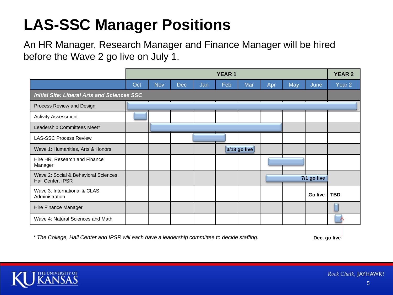### **LAS-SSC Manager Positions**

An HR Manager, Research Manager and Finance Manager will be hired before the Wave 2 go live on July 1.

|                                                            | <b>YEAR 1</b> |            |     |     |     |                     |     | <b>YEAR 2</b> |                 |                   |
|------------------------------------------------------------|---------------|------------|-----|-----|-----|---------------------|-----|---------------|-----------------|-------------------|
|                                                            | Oct           | <b>Nov</b> | Dec | Jan | Feb | Mar                 | Apr | May           | June            | Year <sub>2</sub> |
| <b>Initial Site: Liberal Arts and Sciences SSC</b>         |               |            |     |     |     |                     |     |               |                 |                   |
| Process Review and Design                                  |               |            |     |     |     |                     |     |               |                 |                   |
| <b>Activity Assessment</b>                                 |               |            |     |     |     |                     |     |               |                 |                   |
| Leadership Committees Meet*                                |               |            |     |     |     |                     |     |               |                 |                   |
| <b>LAS-SSC Process Review</b>                              |               |            |     |     |     |                     |     |               |                 |                   |
| Wave 1: Humanities, Arts & Honors                          |               |            |     |     |     | <b>3/18 go live</b> |     |               |                 |                   |
| Hire HR, Research and Finance<br>Manager                   |               |            |     |     |     |                     |     |               |                 |                   |
| Wave 2: Social & Behavioral Sciences,<br>Hall Center, IPSR |               |            |     |     |     |                     |     |               | 7/1 go live     |                   |
| Wave 3: International & CLAS<br>Administration             |               |            |     |     |     |                     |     |               | Go live $+$ TBD |                   |
| Hire Finance Manager                                       |               |            |     |     |     |                     |     |               |                 |                   |
| Wave 4: Natural Sciences and Math                          |               |            |     |     |     |                     |     |               |                 |                   |

*\* The College, Hall Center and IPSR will each have a leadership committee to decide staffing.* 

**Dec. go live**

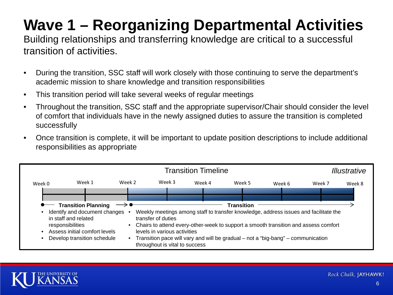# **Wave 1 – Reorganizing Departmental Activities**

Building relationships and transferring knowledge are critical to a successful transition of activities.

- During the transition, SSC staff will work closely with those continuing to serve the department's academic mission to share knowledge and transition responsibilities
- This transition period will take several weeks of regular meetings
- Throughout the transition, SSC staff and the appropriate supervisor/Chair should consider the level of comfort that individuals have in the newly assigned duties to assure the transition is completed successfully
- Once transition is complete, it will be important to update position descriptions to include additional responsibilities as appropriate



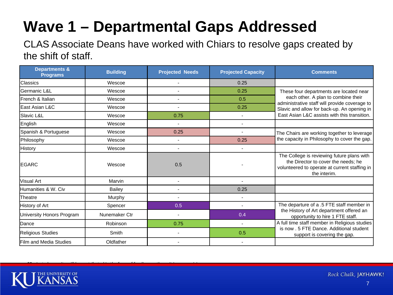## **Wave 1 – Departmental Gaps Addressed**

CLAS Associate Deans have worked with Chiars to resolve gaps created by the shift of staff.

| <b>Departments &amp;</b><br><b>Programs</b> | <b>Building</b><br><b>Projected Needs</b> |      | <b>Projected Capacity</b> | <b>Comments</b>                                                                                                                                    |
|---------------------------------------------|-------------------------------------------|------|---------------------------|----------------------------------------------------------------------------------------------------------------------------------------------------|
| Classics                                    | Wescoe                                    |      | 0.25                      |                                                                                                                                                    |
| Germanic L&L                                | Wescoe                                    |      | 0.25                      | These four departments are located near                                                                                                            |
| French & Italian                            | Wescoe                                    |      | 0.5                       | each other. A plan to combine their<br>administrative staff will provide coverage to                                                               |
| lEast Asian L&C                             | Wescoe                                    |      | 0.25                      | Slavic and allow for back-up. An opening in                                                                                                        |
| Slavic L&L                                  | Wescoe                                    | 0.75 | $\blacksquare$            | East Asian L&C assists with this transition.                                                                                                       |
| English                                     | Wescoe                                    |      |                           |                                                                                                                                                    |
| Spanish & Portuguese                        | Wescoe                                    | 0.25 | $\blacksquare$            | The Chairs are working together to leverage                                                                                                        |
| Philosophy                                  | Wescoe                                    |      | 0.25                      | the capacity in Philosophy to cover the gap.                                                                                                       |
| History                                     | Wescoe                                    |      |                           |                                                                                                                                                    |
| IEGARC                                      | Wescoe                                    | 0.5  |                           | The College is reviewing future plans with<br>the Director to cover the needs; he<br>volunteered to operate at current staffing in<br>the interim. |
| lVisual Art                                 | Marvin                                    |      |                           |                                                                                                                                                    |
| Humanities & W. Civ                         | <b>Bailey</b>                             |      | 0.25                      |                                                                                                                                                    |
| <b>Theatre</b>                              | Murphy                                    |      |                           |                                                                                                                                                    |
| History of Art                              | Spencer                                   | 0.5  |                           | The departure of a .5 FTE staff member in                                                                                                          |
| University Honors Program                   | Nunemaker Ctr                             |      | 0.4                       | the History of Art department offered an<br>opportunity to hire 1 FTE staff.                                                                       |
| Dance                                       | Robinson                                  | 0.75 |                           | A full time staff member in Religious studies                                                                                                      |
| <b>Religious Studies</b>                    | Smith                                     |      | 0.5                       | is now . 5 FTE Dance. Additional student<br>support is covering the gap.                                                                           |
| <b>Film and Media Studies</b>               | Oldfather                                 |      |                           |                                                                                                                                                    |



*\*Projected capacity will be contributed in the form of funding, as the unit is reorganizing.*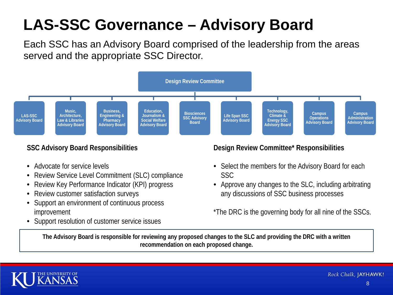### **LAS-SSC Governance – Advisory Board**

Each SSC has an Advisory Board comprised of the leadership from the areas served and the appropriate SSC Director.



#### **SSC Advisory Board Responsibilities**

- Advocate for service levels
- Review Service Level Commitment (SLC) compliance
- Review Key Performance Indicator (KPI) progress
- Review customer satisfaction surveys
- Support an environment of continuous process improvement
- Support resolution of customer service issues

#### **Design Review Committee\* Responsibilities**

- Select the members for the Advisory Board for each SSC
- Approve any changes to the SLC, including arbitrating any discussions of SSC business processes

\*The DRC is the governing body for all nine of the SSCs.

**The Advisory Board is responsible for reviewing any proposed changes to the SLC and providing the DRC with a written recommendation on each proposed change.**



Rock Chalk, JAYHAWK!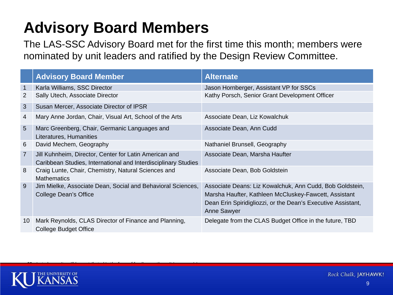### **Advisory Board Members**

*\*Projected capacity will be contributed in the form of funding, as the unit is reorganizing.* 

The LAS-SSC Advisory Board met for the first time this month; members were nominated by unit leaders and ratified by the Design Review Committee.

|                 | <b>Advisory Board Member</b>                                                                                             | <b>Alternate</b>                                                                                                                                                                                        |
|-----------------|--------------------------------------------------------------------------------------------------------------------------|---------------------------------------------------------------------------------------------------------------------------------------------------------------------------------------------------------|
| 1               | Karla Williams, SSC Director                                                                                             | Jason Hornberger, Assistant VP for SSCs                                                                                                                                                                 |
| $\overline{2}$  | Sally Utech, Associate Director                                                                                          | Kathy Porsch, Senior Grant Development Officer                                                                                                                                                          |
| 3               | Susan Mercer, Associate Director of IPSR                                                                                 |                                                                                                                                                                                                         |
| 4               | Mary Anne Jordan, Chair, Visual Art, School of the Arts                                                                  | Associate Dean, Liz Kowalchuk                                                                                                                                                                           |
| $5\overline{)}$ | Marc Greenberg, Chair, Germanic Languages and<br>Literatures, Humanities                                                 | Associate Dean, Ann Cudd                                                                                                                                                                                |
| 6               | David Mechem, Geography                                                                                                  | Nathaniel Brunsell, Geography                                                                                                                                                                           |
| $\overline{7}$  | Jill Kuhnheim, Director, Center for Latin American and<br>Caribbean Studies, International and Interdisciplinary Studies | Associate Dean, Marsha Haufter                                                                                                                                                                          |
| 8               | Craig Lunte, Chair, Chemistry, Natural Sciences and<br><b>Mathematics</b>                                                | Associate Dean, Bob Goldstein                                                                                                                                                                           |
| 9               | Jim Mielke, Associate Dean, Social and Behavioral Sciences,<br>College Dean's Office                                     | Associate Deans: Liz Kowalchuk, Ann Cudd, Bob Goldstein,<br>Marsha Haufter, Kathleen McCluskey-Fawcett, Assistant<br>Dean Erin Spiridigliozzi, or the Dean's Executive Assistant,<br><b>Anne Sawyer</b> |
| 10              | Mark Reynolds, CLAS Director of Finance and Planning,<br><b>College Budget Office</b>                                    | Delegate from the CLAS Budget Office in the future, TBD                                                                                                                                                 |

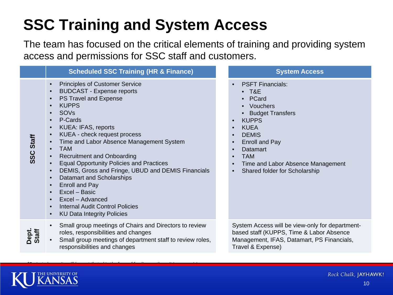## **SSC Training and System Access**

The team has focused on the critical elements of training and providing system access and permissions for SSC staff and customers.

|                  | <b>Scheduled SSC Training (HR &amp; Finance)</b>                                                                                                                                                                                                                                                                                                                                                                                                                                                                                                                                                                                                                                 | <b>System Access</b>                                                                                                                                                                                                                                                         |  |  |  |
|------------------|----------------------------------------------------------------------------------------------------------------------------------------------------------------------------------------------------------------------------------------------------------------------------------------------------------------------------------------------------------------------------------------------------------------------------------------------------------------------------------------------------------------------------------------------------------------------------------------------------------------------------------------------------------------------------------|------------------------------------------------------------------------------------------------------------------------------------------------------------------------------------------------------------------------------------------------------------------------------|--|--|--|
| <b>SSC Staff</b> | <b>Principles of Customer Service</b><br>$\bullet$<br><b>BUDCAST - Expense reports</b><br>PS Travel and Expense<br><b>KUPPS</b><br>SOVs<br>$\bullet$<br>P-Cards<br><b>KUEA: IFAS, reports</b><br>$\bullet$<br>KUEA - check request process<br>Time and Labor Absence Management System<br><b>TAM</b><br>$\bullet$<br><b>Recruitment and Onboarding</b><br><b>Equal Opportunity Policies and Practices</b><br>DEMIS, Gross and Fringe, UBUD and DEMIS Financials<br>$\bullet$<br><b>Datamart and Scholarships</b><br>$\bullet$<br>Enroll and Pay<br>Excel - Basic<br>$\bullet$<br>Excel - Advanced<br><b>Internal Audit Control Policies</b><br><b>KU Data Integrity Policies</b> | <b>PSFT Financials:</b><br>$\bullet$ T&E<br>• PCard<br>• Vouchers<br>• Budget Transfers<br><b>KUPPS</b><br><b>KUEA</b><br>$\bullet$<br><b>DEMIS</b><br><b>Enroll and Pay</b><br>Datamart<br><b>TAM</b><br>Time and Labor Absence Management<br>Shared folder for Scholarship |  |  |  |
| Staff<br>Dept.   | Small group meetings of Chairs and Directors to review<br>roles, responsibilities and changes<br>Small group meetings of department staff to review roles,<br>responsibilities and changes                                                                                                                                                                                                                                                                                                                                                                                                                                                                                       | System Access will be view-only for department-<br>based staff (KUPPS, Time & Labor Absence<br>Management, IFAS, Datamart, PS Financials,<br>Travel & Expense)                                                                                                               |  |  |  |
|                  |                                                                                                                                                                                                                                                                                                                                                                                                                                                                                                                                                                                                                                                                                  |                                                                                                                                                                                                                                                                              |  |  |  |



*\*Projected capacity will be contributed in the form of funding, as the unit is reorganizing.*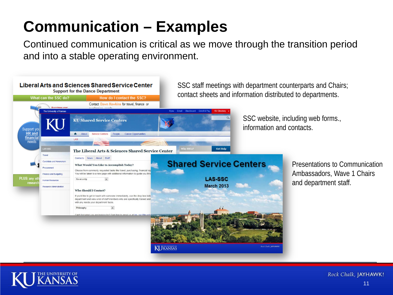### **Communication – Examples**

Continued communication is critical as we move through the transition period and into a stable operating environment.



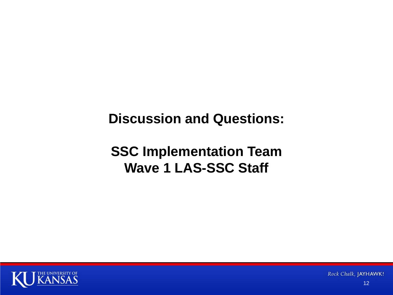### **Discussion and Questions:**

### **SSC Implementation Team Wave 1 LAS-SSC Staff**



Rock Chalk, JAYHAWK!